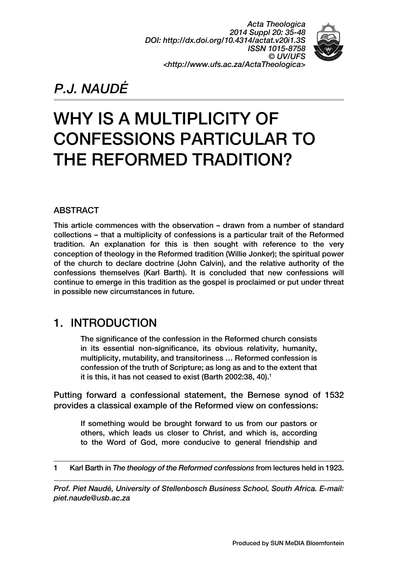*Acta Theologica 2014 Suppl 20: 35-48 DOI: http://dx.doi.org/10.4314/actat.v20i1.3S ISSN 1015-8758 © UV/UFS*



*<http://www.ufs.ac.za/ActaTheologica>*

# *P.J. NAUDÉ*

# WHY IS A MULTIPLICITY OF CONFESSIONS PARTICULAR TO THE REFORMED TRADITION?

### **ABSTRACT**

This article commences with the observation – drawn from a number of standard collections – that a multiplicity of confessions is a particular trait of the Reformed tradition. An explanation for this is then sought with reference to the very conception of theology in the Reformed tradition (Willie Jonker); the spiritual power of the church to declare doctrine (John Calvin), and the relative authority of the confessions themselves (Karl Barth). It is concluded that new confessions will continue to emerge in this tradition as the gospel is proclaimed or put under threat in possible new circumstances in future.

### 1. INTRODUCTION

The significance of the confession in the Reformed church consists in its essential non-significance, its obvious relativity, humanity, multiplicity, mutability, and transitoriness … Reformed confession is confession of the truth of Scripture; as long as and to the extent that it is this, it has not ceased to exist (Barth 2002:38, 40).<sup>1</sup>

Putting forward a confessional statement, the Bernese synod of 1532 provides a classical example of the Reformed view on confessions:

If something would be brought forward to us from our pastors or others, which leads us closer to Christ, and which is, according to the Word of God, more conducive to general friendship and

*Prof. Piet Naudé, University of Stellenbosch Business School, South Africa. E-mail: piet.naude@usb.ac.za*

<sup>1</sup> Karl Barth in *The theology of the Reformed confessions* from lectures held in 1923.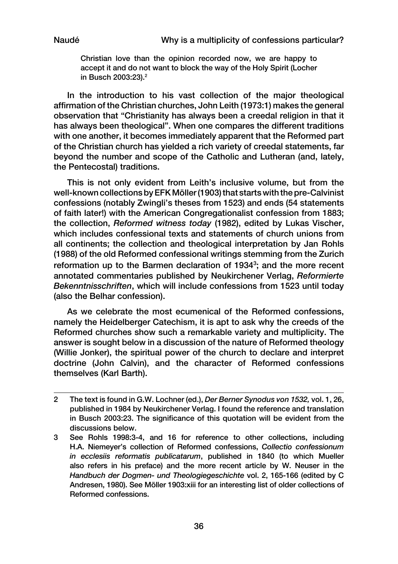Christian love than the opinion recorded now, we are happy to accept it and do not want to block the way of the Holy Spirit (Locher in Busch 2003:23).2

In the introduction to his vast collection of the major theological affirmation of the Christian churches, John Leith (1973:1) makes the general observation that "Christianity has always been a creedal religion in that it has always been theological". When one compares the different traditions with one another, it becomes immediately apparent that the Reformed part of the Christian church has yielded a rich variety of creedal statements, far beyond the number and scope of the Catholic and Lutheran (and, lately, the Pentecostal) traditions.

This is not only evident from Leith's inclusive volume, but from the well-known collections by EFK Möller (1903) that starts with the pre-Calvinist confessions (notably Zwingli's theses from 1523) and ends (54 statements of faith later!) with the American Congregationalist confession from 1883; the collection, *Reformed witness today* (1982), edited by Lukas Vischer, which includes confessional texts and statements of church unions from all continents; the collection and theological interpretation by Jan Rohls (1988) of the old Reformed confessional writings stemming from the Zurich reformation up to the Barmen declaration of 1934<sup>3</sup>; and the more recent annotated commentaries published by Neukirchener Verlag, *Reformierte Bekenntnisschriften*, which will include confessions from 1523 until today (also the Belhar confession).

As we celebrate the most ecumenical of the Reformed confessions, namely the Heidelberger Catechism, it is apt to ask why the creeds of the Reformed churches show such a remarkable variety and multiplicity. The answer is sought below in a discussion of the nature of Reformed theology (Willie Jonker), the spiritual power of the church to declare and interpret doctrine (John Calvin), and the character of Reformed confessions themselves (Karl Barth).

<sup>2</sup> The text is found in G.W. Lochner (ed.), *Der Berner Synodus von 1532,* vol. 1, 26, published in 1984 by Neukirchener Verlag. I found the reference and translation in Busch 2003:23. The significance of this quotation will be evident from the discussions below.

<sup>3</sup> See Rohls 1998:3-4, and 16 for reference to other collections, including H.A. Niemeyer's collection of Reformed confessions, *Collectio confessionum in ecclesiis reformatis publicatarum*, published in 1840 (to which Mueller also refers in his preface) and the more recent article by W. Neuser in the *Handbuch der Dogmen- und Theologiegeschichte* vol. 2, 165-166 (edited by C Andresen, 1980). See Möller 1903:xiii for an interesting list of older collections of Reformed confessions.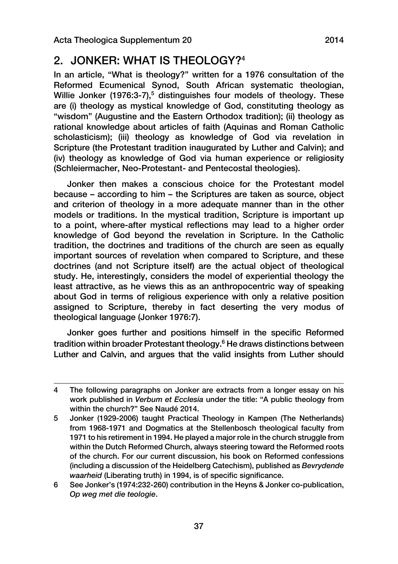### 2. JONKER: WHAT IS THEOLOGY?4

In an article, "What is theology?" written for a 1976 consultation of the Reformed Ecumenical Synod, South African systematic theologian, Willie Jonker (1976:3-7),<sup>5</sup> distinguishes four models of theology. These are (i) theology as mystical knowledge of God, constituting theology as "wisdom" (Augustine and the Eastern Orthodox tradition); (ii) theology as rational knowledge about articles of faith (Aquinas and Roman Catholic scholasticism); (iii) theology as knowledge of God via revelation in Scripture (the Protestant tradition inaugurated by Luther and Calvin); and (iv) theology as knowledge of God via human experience or religiosity (Schleiermacher, Neo-Protestant- and Pentecostal theologies).

Jonker then makes a conscious choice for the Protestant model because – according to him – the Scriptures are taken as source, object and criterion of theology in a more adequate manner than in the other models or traditions. In the mystical tradition, Scripture is important up to a point, where-after mystical reflections may lead to a higher order knowledge of God beyond the revelation in Scripture. In the Catholic tradition, the doctrines and traditions of the church are seen as equally important sources of revelation when compared to Scripture, and these doctrines (and not Scripture itself) are the actual object of theological study. He, interestingly, considers the model of experiential theology the least attractive, as he views this as an anthropocentric way of speaking about God in terms of religious experience with only a relative position assigned to Scripture, thereby in fact deserting the very modus of theological language (Jonker 1976:7).

Jonker goes further and positions himself in the specific Reformed tradition within broader Protestant theology.<sup>6</sup> He draws distinctions between Luther and Calvin, and argues that the valid insights from Luther should

<sup>4</sup> The following paragraphs on Jonker are extracts from a longer essay on his work published in *Verbum et Ecclesia* under the title: "A public theology from within the church?" See Naudé 2014.

<sup>5</sup> Jonker (1929-2006) taught Practical Theology in Kampen (The Netherlands) from 1968-1971 and Dogmatics at the Stellenbosch theological faculty from 1971 to his retirement in 1994. He played a major role in the church struggle from within the Dutch Reformed Church, always steering toward the Reformed roots of the church. For our current discussion, his book on Reformed confessions (including a discussion of the Heidelberg Catechism), published as *Bevrydende waarheid* (Liberating truth) in 1994, is of specific significance.

<sup>6</sup> See Jonker's (1974:232-260) contribution in the Heyns & Jonker co-publication, *Op weg met die teologie*.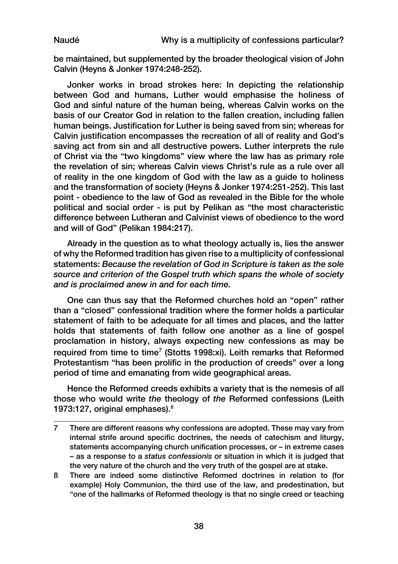Naudé Why is a multiplicity of confessions particular?

be maintained, but supplemented by the broader theological vision of John Calvin (Heyns & Jonker 1974:248-252).

Jonker works in broad strokes here: In depicting the relationship between God and humans, Luther would emphasise the holiness of God and sinful nature of the human being, whereas Calvin works on the basis of our Creator God in relation to the fallen creation, including fallen human beings. Justification for Luther is being saved from sin; whereas for Calvin justification encompasses the recreation of all of reality and God's saving act from sin and all destructive powers. Luther interprets the rule of Christ via the "two kingdoms" view where the law has as primary role the revelation of sin; whereas Calvin views Christ's rule as a rule over all of reality in the one kingdom of God with the law as a guide to holiness and the transformation of society (Heyns & Jonker 1974:251-252). This last point - obedience to the law of God as revealed in the Bible for the whole political and social order - is put by Pelikan as "the most characteristic difference between Lutheran and Calvinist views of obedience to the word and will of God" (Pelikan 1984:217).

Already in the question as to what theology actually is, lies the answer of why the Reformed tradition has given rise to a multiplicity of confessional statements: *Because the revelation of God in Scripture is taken as the sole source and criterion of the Gospel truth which spans the whole of society and is proclaimed anew in and for each time.*

One can thus say that the Reformed churches hold an "open" rather than a "closed" confessional tradition where the former holds a particular statement of faith to be adequate for all times and places, and the latter holds that statements of faith follow one another as a line of gospel proclamation in history, always expecting new confessions as may be required from time to time<sup>7</sup> (Stotts 1998:xi). Leith remarks that Reformed Protestantism "has been prolific in the production of creeds" over a long period of time and emanating from wide geographical areas.

Hence the Reformed creeds exhibits a variety that is the nemesis of all those who would write *the* theology of *the* Reformed confessions (Leith 1973:127, original emphases).<sup>8</sup>

8 There are indeed some distinctive Reformed doctrines in relation to (for example) Holy Communion, the third use of the law, and predestination, but "one of the hallmarks of Reformed theology is that no single creed or teaching

<sup>7</sup> There are different reasons why confessions are adopted. These may vary from internal strife around specific doctrines, the needs of catechism and liturgy, statements accompanying church unification processes, or – in extreme cases – as a response to a *status confessionis* or situation in which it is judged that the very nature of the church and the very truth of the gospel are at stake.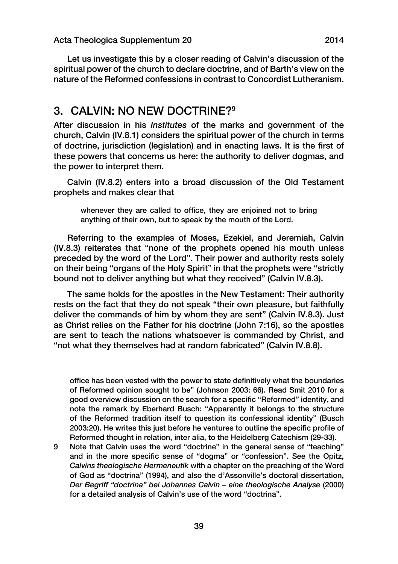Let us investigate this by a closer reading of Calvin's discussion of the spiritual power of the church to declare doctrine, and of Barth's view on the nature of the Reformed confessions in contrast to Concordist Lutheranism.

### 3. CALVIN: NO NEW DOCTRINE?9

After discussion in his *Institutes* of the marks and government of the church, Calvin (IV.8.1) considers the spiritual power of the church in terms of doctrine, jurisdiction (legislation) and in enacting laws. It is the first of these powers that concerns us here: the authority to deliver dogmas, and the power to interpret them.

Calvin (IV.8.2) enters into a broad discussion of the Old Testament prophets and makes clear that

whenever they are called to office, they are enjoined not to bring anything of their own, but to speak by the mouth of the Lord.

Referring to the examples of Moses, Ezekiel, and Jeremiah, Calvin (IV.8.3) reiterates that "none of the prophets opened his mouth unless preceded by the word of the Lord". Their power and authority rests solely on their being "organs of the Holy Spirit" in that the prophets were "strictly bound not to deliver anything but what they received" (Calvin IV.8.3).

The same holds for the apostles in the New Testament: Their authority rests on the fact that they do not speak "their own pleasure, but faithfully deliver the commands of him by whom they are sent" (Calvin IV.8.3). Just as Christ relies on the Father for his doctrine (John 7:16), so the apostles are sent to teach the nations whatsoever is commanded by Christ, and "not what they themselves had at random fabricated" (Calvin IV.8.8).

office has been vested with the power to state definitively what the boundaries of Reformed opinion sought to be" (Johnson 2003: 66). Read Smit 2010 for a good overview discussion on the search for a specific "Reformed" identity, and note the remark by Eberhard Busch: "Apparently it belongs to the structure of the Reformed tradition itself to question its confessional identity" (Busch 2003:20). He writes this just before he ventures to outline the specific profile of Reformed thought in relation, inter alia, to the Heidelberg Catechism (29-33).

9 Note that Calvin uses the word "doctrine" in the general sense of "teaching" and in the more specific sense of "dogma" or "confession". See the Opitz, *Calvins theologische Hermeneutik* with a chapter on the preaching of the Word of God as "doctrina" (1994), and also the d'Assonville's doctoral dissertation, *Der Begriff "doctrina" bei Johannes Calvin – eine theologische Analyse* (2000) for a detailed analysis of Calvin's use of the word "doctrina".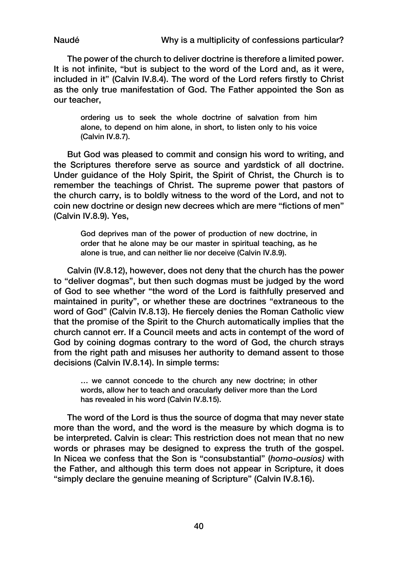Naudé Why is a multiplicity of confessions particular?

The power of the church to deliver doctrine is therefore a limited power. It is not infinite, "but is subject to the word of the Lord and, as it were, included in it" (Calvin IV.8.4). The word of the Lord refers firstly to Christ as the only true manifestation of God. The Father appointed the Son as our teacher,

ordering us to seek the whole doctrine of salvation from him alone, to depend on him alone, in short, to listen only to his voice (Calvin IV.8.7).

But God was pleased to commit and consign his word to writing, and the Scriptures therefore serve as source and yardstick of all doctrine. Under guidance of the Holy Spirit, the Spirit of Christ, the Church is to remember the teachings of Christ. The supreme power that pastors of the church carry, is to boldly witness to the word of the Lord, and not to coin new doctrine or design new decrees which are mere "fictions of men" (Calvin IV.8.9). Yes,

God deprives man of the power of production of new doctrine, in order that he alone may be our master in spiritual teaching, as he alone is true, and can neither lie nor deceive (Calvin IV.8.9).

Calvin (IV.8.12), however, does not deny that the church has the power to "deliver dogmas", but then such dogmas must be judged by the word of God to see whether "the word of the Lord is faithfully preserved and maintained in purity", or whether these are doctrines "extraneous to the word of God" (Calvin IV.8.13). He fiercely denies the Roman Catholic view that the promise of the Spirit to the Church automatically implies that the church cannot err. If a Council meets and acts in contempt of the word of God by coining dogmas contrary to the word of God, the church strays from the right path and misuses her authority to demand assent to those decisions (Calvin IV.8.14). In simple terms:

… we cannot concede to the church any new doctrine; in other words, allow her to teach and oracularly deliver more than the Lord has revealed in his word (Calvin IV.8.15).

The word of the Lord is thus the source of dogma that may never state more than the word, and the word is the measure by which dogma is to be interpreted. Calvin is clear: This restriction does not mean that no new words or phrases may be designed to express the truth of the gospel. In Nicea we confess that the Son is "consubstantial" (*homo-ousios)* with the Father, and although this term does not appear in Scripture, it does "simply declare the genuine meaning of Scripture" (Calvin IV.8.16).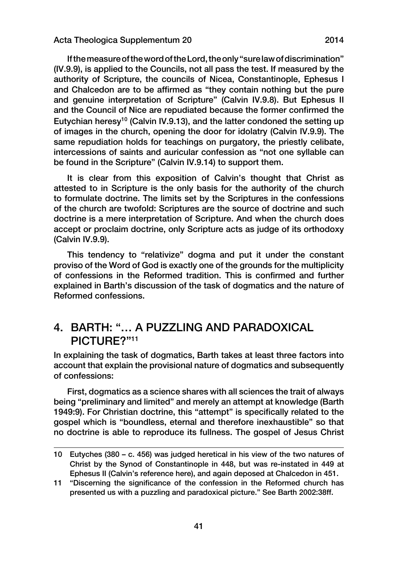If the measure of the word of the Lord, the only "sure law of discrimination" (IV.9.9), is applied to the Councils, not all pass the test. If measured by the authority of Scripture, the councils of Nicea, Constantinople, Ephesus I and Chalcedon are to be affirmed as "they contain nothing but the pure and genuine interpretation of Scripture" (Calvin IV.9.8). But Ephesus II and the Council of Nice are repudiated because the former confirmed the Eutychian heresy<sup>10</sup> (Calvin IV.9.13), and the latter condoned the setting up of images in the church, opening the door for idolatry (Calvin IV.9.9). The same repudiation holds for teachings on purgatory, the priestly celibate, intercessions of saints and auricular confession as "not one syllable can be found in the Scripture" (Calvin IV.9.14) to support them.

It is clear from this exposition of Calvin's thought that Christ as attested to in Scripture is the only basis for the authority of the church to formulate doctrine. The limits set by the Scriptures in the confessions of the church are twofold: Scriptures are the source of doctrine and such doctrine is a mere interpretation of Scripture. And when the church does accept or proclaim doctrine, only Scripture acts as judge of its orthodoxy (Calvin IV.9.9).

This tendency to "relativize" dogma and put it under the constant proviso of the Word of God is exactly one of the grounds for the multiplicity of confessions in the Reformed tradition. This is confirmed and further explained in Barth's discussion of the task of dogmatics and the nature of Reformed confessions.

### 4. BARTH: "… A PUZZLING AND PARADOXICAL PICTURE?"11

In explaining the task of dogmatics, Barth takes at least three factors into account that explain the provisional nature of dogmatics and subsequently of confessions:

First, dogmatics as a science shares with all sciences the trait of always being "preliminary and limited" and merely an attempt at knowledge (Barth 1949:9). For Christian doctrine, this "attempt" is specifically related to the gospel which is "boundless, eternal and therefore inexhaustible" so that no doctrine is able to reproduce its fullness. The gospel of Jesus Christ

<sup>10</sup> Eutyches (380 – c. 456) was judged heretical in his view of the two natures of Christ by the Synod of Constantinople in 448, but was re-instated in 449 at Ephesus II (Calvin's reference here), and again deposed at Chalcedon in 451.

<sup>11</sup> "Discerning the significance of the confession in the Reformed church has presented us with a puzzling and paradoxical picture." See Barth 2002:38ff.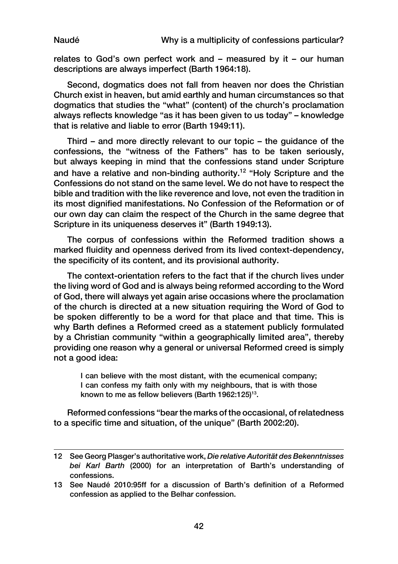relates to God's own perfect work and – measured by it – our human descriptions are always imperfect (Barth 1964:18).

Second, dogmatics does not fall from heaven nor does the Christian Church exist in heaven, but amid earthly and human circumstances so that dogmatics that studies the "what" (content) of the church's proclamation always reflects knowledge "as it has been given to us today" – knowledge that is relative and liable to error (Barth 1949:11).

Third – and more directly relevant to our topic – the guidance of the confessions, the "witness of the Fathers" has to be taken seriously, but always keeping in mind that the confessions stand under Scripture and have a relative and non-binding authority.<sup>12</sup> "Holy Scripture and the Confessions do not stand on the same level. We do not have to respect the bible and tradition with the like reverence and love, not even the tradition in its most dignified manifestations. No Confession of the Reformation or of our own day can claim the respect of the Church in the same degree that Scripture in its uniqueness deserves it" (Barth 1949:13).

The corpus of confessions within the Reformed tradition shows a marked fluidity and openness derived from its lived context-dependency, the specificity of its content, and its provisional authority.

The context-orientation refers to the fact that if the church lives under the living word of God and is always being reformed according to the Word of God, there will always yet again arise occasions where the proclamation of the church is directed at a new situation requiring the Word of God to be spoken differently to be a word for that place and that time. This is why Barth defines a Reformed creed as a statement publicly formulated by a Christian community "within a geographically limited area", thereby providing one reason why a general or universal Reformed creed is simply not a good idea:

I can believe with the most distant, with the ecumenical company; I can confess my faith only with my neighbours, that is with those known to me as fellow believers (Barth 1962:125)13.

Reformed confessions "bear the marks of the occasional, of relatedness to a specific time and situation, of the unique" (Barth 2002:20).

<sup>12</sup> See Georg Plasger's authoritative work, *Die relative Autorität des Bekenntnisses bei Karl Barth* (2000) for an interpretation of Barth's understanding of confessions.

<sup>13</sup> See Naudé 2010:95ff for a discussion of Barth's definition of a Reformed confession as applied to the Belhar confession.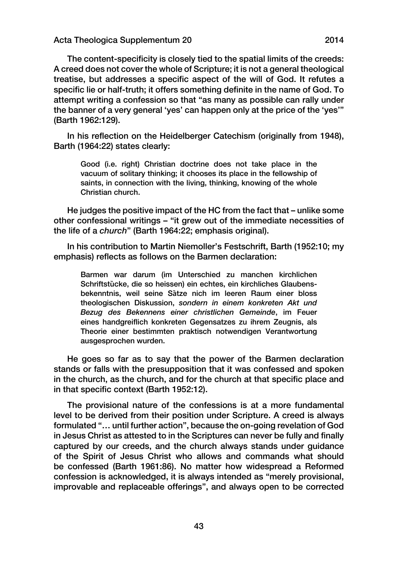#### Acta Theologica Supplementum 20 2014

The content-specificity is closely tied to the spatial limits of the creeds: A creed does not cover the whole of Scripture; it is not a general theological treatise, but addresses a specific aspect of the will of God. It refutes a specific lie or half-truth; it offers something definite in the name of God. To attempt writing a confession so that "as many as possible can rally under the banner of a very general 'yes' can happen only at the price of the 'yes'" (Barth 1962:129).

In his reflection on the Heidelberger Catechism (originally from 1948). Barth (1964:22) states clearly:

Good (i.e. right) Christian doctrine does not take place in the vacuum of solitary thinking; it chooses its place in the fellowship of saints, in connection with the living, thinking, knowing of the whole Christian church.

He judges the positive impact of the HC from the fact that – unlike some other confessional writings – "it grew out of the immediate necessities of the life of a *church*" (Barth 1964:22; emphasis original).

In his contribution to Martin Niemoller's Festschrift, Barth (1952:10; my emphasis) reflects as follows on the Barmen declaration:

Barmen war darum (im Unterschied zu manchen kirchlichen Schriftstücke, die so heissen) ein echtes, ein kirchliches Glaubensbekenntnis, weil seine S**ȁ**tze nich im leeren Raum einer bloss theologischen Diskussion, *sondern in einem konkreten Akt und Bezug des Bekennens einer christlichen Gemeinde*, im Feuer eines handgreiflich konkreten Gegensatzes zu ihrem Zeugnis, als Theorie einer bestimmten praktisch notwendigen Verantwortung ausgesprochen wurden.

He goes so far as to say that the power of the Barmen declaration stands or falls with the presupposition that it was confessed and spoken in the church, as the church, and for the church at that specific place and in that specific context (Barth 1952:12).

The provisional nature of the confessions is at a more fundamental level to be derived from their position under Scripture. A creed is always formulated "… until further action", because the on-going revelation of God in Jesus Christ as attested to in the Scriptures can never be fully and finally captured by our creeds, and the church always stands under guidance of the Spirit of Jesus Christ who allows and commands what should be confessed (Barth 1961:86). No matter how widespread a Reformed confession is acknowledged, it is always intended as "merely provisional, improvable and replaceable offerings", and always open to be corrected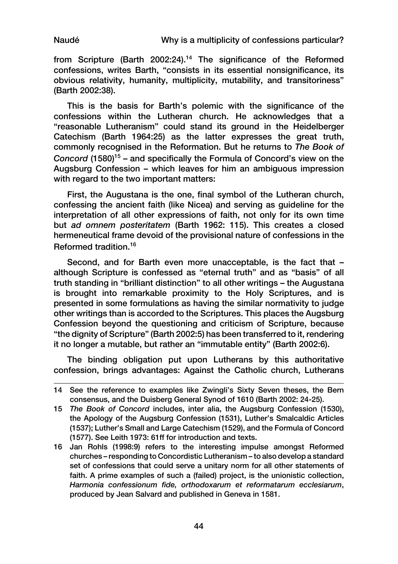from Scripture (Barth 2002:24).<sup>14</sup> The significance of the Reformed confessions, writes Barth, "consists in its essential nonsignificance, its obvious relativity, humanity, multiplicity, mutability, and transitoriness" (Barth 2002:38).

This is the basis for Barth's polemic with the significance of the confessions within the Lutheran church. He acknowledges that a "reasonable Lutheranism" could stand its ground in the Heidelberger Catechism (Barth 1964:25) as the latter expresses the great truth, commonly recognised in the Reformation. But he returns to *The Book of Concord* (1580)<sup>15</sup> – and specifically the Formula of Concord's view on the Augsburg Confession – which leaves for him an ambiguous impression with regard to the two important matters:

First, the Augustana is the one, final symbol of the Lutheran church, confessing the ancient faith (like Nicea) and serving as guideline for the interpretation of all other expressions of faith, not only for its own time but *ad omnem posteritatem* (Barth 1962: 115). This creates a closed hermeneutical frame devoid of the provisional nature of confessions in the Reformed tradition.16

Second, and for Barth even more unacceptable, is the fact that – although Scripture is confessed as "eternal truth" and as "basis" of all truth standing in "brilliant distinction" to all other writings – the Augustana is brought into remarkable proximity to the Holy Scriptures, and is presented in some formulations as having the similar normativity to judge other writings than is accorded to the Scriptures. This places the Augsburg Confession beyond the questioning and criticism of Scripture, because "the dignity of Scripture" (Barth 2002:5) has been transferred to it, rendering it no longer a mutable, but rather an "immutable entity" (Barth 2002:6).

The binding obligation put upon Lutherans by this authoritative confession, brings advantages: Against the Catholic church, Lutherans

<sup>14</sup> See the reference to examples like Zwingli's Sixty Seven theses, the Bern consensus, and the Duisberg General Synod of 1610 (Barth 2002: 24-25).

<sup>15</sup> *The Book of Concord* includes, inter alia, the Augsburg Confession (1530), the Apology of the Augsburg Confession (1531), Luther's Smalcaldic Articles (1537); Luther's Small and Large Catechism (1529), and the Formula of Concord (1577). See Leith 1973: 61ff for introduction and texts.

<sup>16</sup> Jan Rohls (1998:9) refers to the interesting impulse amongst Reformed churches – responding to Concordistic Lutheranism – to also develop a standard set of confessions that could serve a unitary norm for all other statements of faith. A prime examples of such a (failed) project, is the unionistic collection, *Harmonia confessionum fide, orthodoxarum et reformatarum ecclesiarum*, produced by Jean Salvard and published in Geneva in 1581.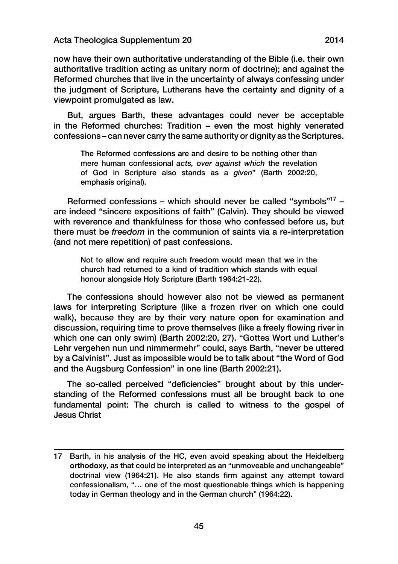now have their own authoritative understanding of the Bible (i.e. their own authoritative tradition acting as unitary norm of doctrine); and against the Reformed churches that live in the uncertainty of always confessing under the judgment of Scripture, Lutherans have the certainty and dignity of a viewpoint promulgated as law.

But, argues Barth, these advantages could never be acceptable in the Reformed churches: Tradition – even the most highly venerated confessions – can never carry the same authority or dignity as the Scriptures.

The Reformed confessions are and desire to be nothing other than mere human confessional *acts, over against which* the revelation of God in Scripture also stands as a *given*" (Barth 2002:20, emphasis original).

Reformed confessions – which should never be called "symbols"<sup>17</sup> – are indeed "sincere expositions of faith" (Calvin). They should be viewed with reverence and thankfulness for those who confessed before us, but there must be *freedom* in the communion of saints via a re-interpretation (and not mere repetition) of past confessions.

Not to allow and require such freedom would mean that we in the church had returned to a kind of tradition which stands with equal honour alongside Holy Scripture (Barth 1964:21-22).

The confessions should however also not be viewed as permanent laws for interpreting Scripture (like a frozen river on which one could walk), because they are by their very nature open for examination and discussion, requiring time to prove themselves (like a freely flowing river in which one can only swim) (Barth 2002:20, 27). "Gottes Wort und Luther's Lehr vergehen nun und nimmermehr" could, says Barth, "never be uttered by a Calvinist". Just as impossible would be to talk about "the Word of God and the Augsburg Confession" in one line (Barth 2002:21).

The so-called perceived "deficiencies" brought about by this understanding of the Reformed confessions must all be brought back to one fundamental point: The church is called to witness to the gospel of Jesus Christ

<sup>17</sup> Barth, in his analysis of the HC, even avoid speaking about the Heidelberg **orthodoxy**, as that could be interpreted as an "unmoveable and unchangeable" doctrinal view (1964:21). He also stands firm against any attempt toward confessionalism, "… one of the most questionable things which is happening today in German theology and in the German church" (1964:22).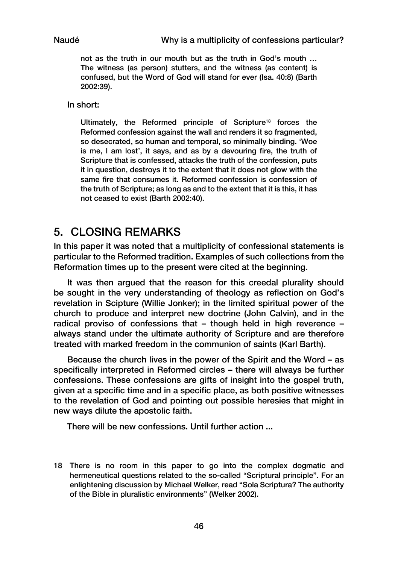not as the truth in our mouth but as the truth in God's mouth … The witness (as person) stutters, and the witness (as content) is confused, but the Word of God will stand for ever (Isa. 40:8) (Barth 2002:39).

In short:

Ultimately, the Reformed principle of Scripture<sup>18</sup> forces the Reformed confession against the wall and renders it so fragmented, so desecrated, so human and temporal, so minimally binding. 'Woe is me, I am lost', it says, and as by a devouring fire, the truth of Scripture that is confessed, attacks the truth of the confession, puts it in question, destroys it to the extent that it does not glow with the same fire that consumes it. Reformed confession is confession of the truth of Scripture; as long as and to the extent that it is this, it has not ceased to exist (Barth 2002:40).

## 5. CLOSING REMARKS

In this paper it was noted that a multiplicity of confessional statements is particular to the Reformed tradition. Examples of such collections from the Reformation times up to the present were cited at the beginning.

It was then argued that the reason for this creedal plurality should be sought in the very understanding of theology as reflection on God's revelation in Scipture (Willie Jonker); in the limited spiritual power of the church to produce and interpret new doctrine (John Calvin), and in the radical proviso of confessions that – though held in high reverence – always stand under the ultimate authority of Scripture and are therefore treated with marked freedom in the communion of saints (Karl Barth).

Because the church lives in the power of the Spirit and the Word – as specifically interpreted in Reformed circles – there will always be further confessions. These confessions are gifts of insight into the gospel truth, given at a specific time and in a specific place, as both positive witnesses to the revelation of God and pointing out possible heresies that might in new ways dilute the apostolic faith.

There will be new confessions. Until further action ...

<sup>18</sup> There is no room in this paper to go into the complex dogmatic and hermeneutical questions related to the so-called "Scriptural principle". For an enlightening discussion by Michael Welker, read "Sola Scriptura? The authority of the Bible in pluralistic environments" (Welker 2002).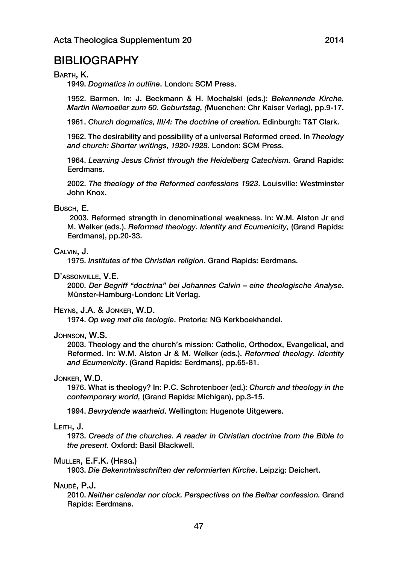### BIBLIOGRAPHY

#### Barth, K.

1949. *Dogmatics in outline*. London: SCM Press.

1952. Barmen. In: J. Beckmann & H. Mochalski (eds.): *Bekennende Kirche. Martin Niemoeller zum 60. Geburtstag, (*Muenchen: Chr Kaiser Verlag), pp.9-17.

1961. *Church dogmatics, III/4: The doctrine of creation.* Edinburgh: T&T Clark.

1962. The desirability and possibility of a universal Reformed creed. In *Theology and church: Shorter writings, 1920-1928.* London: SCM Press.

1964. *Learning Jesus Christ through the Heidelberg Catechism.* Grand Rapids: Eerdmans.

2002. *The theology of the Reformed confessions 1923*. Louisville: Westminster John Knox.

#### Busch, E.

 2003. Reformed strength in denominational weakness. In: W.M. Alston Jr and M. Welker (eds.). *Reformed theology. Identity and Ecumenicity,* (Grand Rapids: Eerdmans), pp.20-33.

#### Calvin, J.

1975. *Institutes of the Christian religion*. Grand Rapids: Eerdmans.

#### D'assonville, V.E.

2000. *Der Begriff "doctrina" bei Johannes Calvin – eine theologische Analyse*. Münster-Hamburg-London: Lit Verlag.

#### Heyns, J.A. & Jonker, W.D.

1974. *Op weg met die teologie*. Pretoria: NG Kerkboekhandel.

#### Johnson, W.S.

2003. Theology and the church's mission: Catholic, Orthodox, Evangelical, and Reformed. In: W.M. Alston Jr & M. Welker (eds.). *Reformed theology. Identity and Ecumenicity*. (Grand Rapids: Eerdmans), pp.65-81.

#### Jonker, W.D.

1976. What is theology? In: P.C. Schrotenboer (ed.): *Church and theology in the contemporary world,* (Grand Rapids: Michigan), pp.3-15.

1994. *Bevrydende waarheid*. Wellington: Hugenote Uitgewers.

#### Leith, J.

1973. *Creeds of the churches. A reader in Christian doctrine from the Bible to the present.* Oxford: Basil Blackwell.

#### Muller, E.F.K. (Hrsg.)

1903. *Die Bekenntnisschriften der reformierten Kirche*. Leipzig: Deichert.

#### NAUDÉ, P.J.

2010. *Neither calendar nor clock. Perspectives on the Belhar confession.* Grand Rapids: Eerdmans.